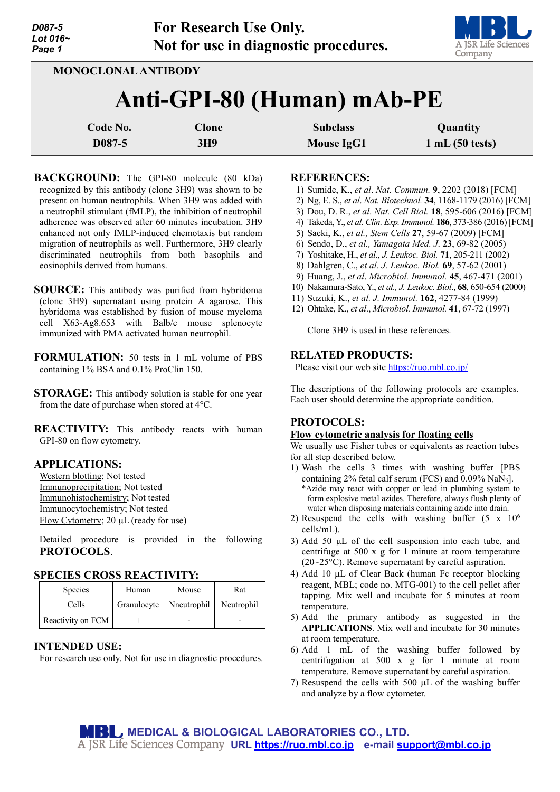| D087-5         |
|----------------|
| Lot 016 $\sim$ |
| Page 1         |



**MONOCLONAL ANTIBODY**

# **Anti-GPI-80 (Human) mAb-PE**

| Code No. | Clone | <b>Subclass</b> | Quantity       |
|----------|-------|-----------------|----------------|
| D087-5   | 3H9   | Mouse IgG1      | 1 mL(50 tests) |

- **BACKGROUND:** The GPI-80 molecule (80 kDa) recognized by this antibody (clone 3H9) was shown to be present on human neutrophils. When 3H9 was added with a neutrophil stimulant (fMLP), the inhibition of neutrophil adherence was observed after 60 minutes incubation. 3H9 enhanced not only fMLP-induced chemotaxis but random migration of neutrophils as well. Furthermore, 3H9 clearly discriminated neutrophils from both basophils and eosinophils derived from humans.
- **SOURCE:** This antibody was purified from hybridoma (clone 3H9) supernatant using protein A agarose. This hybridoma was established by fusion of mouse myeloma cell X63-Ag8.653 with Balb/c mouse splenocyte immunized with PMA activated human neutrophil.
- **FORMULATION:** 50 tests in 1 mL volume of PBS containing 1% BSA and 0.1% ProClin 150.
- **STORAGE:** This antibody solution is stable for one year from the date of purchase when stored at 4°C.

**REACTIVITY:** This antibody reacts with human GPI-80 on flow cytometry.

#### **APPLICATIONS:**

Western blotting; Not tested Immunoprecipitation; Not tested Immunohistochemistry; Not tested Immunocytochemistry; Not tested Flow Cytometry; 20 µL (ready for use)

Detailed procedure is provided in the following **PROTOCOLS**.

### **SPECIES CROSS REACTIVITY:**

| <b>Species</b>    | Human       | Mouse       | Rat        |
|-------------------|-------------|-------------|------------|
| Cells             | Granulocyte | Nneutrophil | Neutrophil |
| Reactivity on FCM |             |             |            |

### **INTENDED USE:**

For research use only. Not for use in diagnostic procedures.

#### **REFERENCES:**

- 1) Sumide, K., *et al*. *Nat. Commun.* **9**, 2202 (2018) [FCM]
- 2) Ng, E. S., *et al*. *Nat. Biotechnol.* **34**, 1168-1179 (2016) [FCM]
- 3) Dou, D. R., *et al*. *Nat. Cell Biol.* **18**, 595-606 (2016) [FCM]
- 4) Takeda, Y., *et al*. *Clin. Exp. Immunol.* **186**, 373-386 (2016) [FCM]
- 5) Saeki, K., *et al., Stem Cells* **27**, 59-67 (2009) [FCM]
- 6) Sendo, D., *et al., Yamagata Med. J*. **23**, 69-82 (2005)
- 7) Yoshitake, H., *et al., J. Leukoc. Biol.* **71**, 205-211 (2002)
- 8) Dahlgren, C., *et al*. *J. Leukoc. Biol.* **69**, 57-62 (2001)
- 9) Huang, J., *et al*. *Microbiol. Immunol.* **45**, 467-471 (2001)
- 10) Nakamura-Sato, Y., *et al., J. Leukoc. Biol*., **68**, 650-654 (2000)
- 11) Suzuki, K., *et al. J. Immunol.* **162**, 4277-84 (1999)
- 12) Ohtake, K., *et al*., *Microbiol. Immunol.* **41**, 67-72 (1997)

Clone 3H9 is used in these references.

#### **RELATED PRODUCTS:**

Please visit our web site<https://ruo.mbl.co.jp/>

The descriptions of the following protocols are examples. Each user should determine the appropriate condition.

## **PROTOCOLS:**

#### **Flow cytometric analysis for floating cells**

We usually use Fisher tubes or equivalents as reaction tubes for all step described below.

- 1) Wash the cells 3 times with washing buffer [PBS containing 2% fetal calf serum (FCS) and  $0.09\%$  NaN<sub>3</sub>]. \*Azide may react with copper or lead in plumbing system to form explosive metal azides. Therefore, always flush plenty of water when disposing materials containing azide into drain.
- 2) Resuspend the cells with washing buffer  $(5 \times 10^6$ cells/mL).
- 3) Add 50 µL of the cell suspension into each tube, and centrifuge at 500 x g for 1 minute at room temperature (20~25°C). Remove supernatant by careful aspiration.
- 4) Add 10 µL of Clear Back (human Fc receptor blocking reagent, MBL; code no. MTG-001) to the cell pellet after tapping. Mix well and incubate for 5 minutes at room temperature.
- 5) Add the primary antibody as suggested in the **APPLICATIONS**. Mix well and incubate for 30 minutes at room temperature.
- 6) Add 1 mL of the washing buffer followed by centrifugation at 500 x g for 1 minute at room temperature. Remove supernatant by careful aspiration.
- 7) Resuspend the cells with 500 µL of the washing buffer and analyze by a flow cytometer.